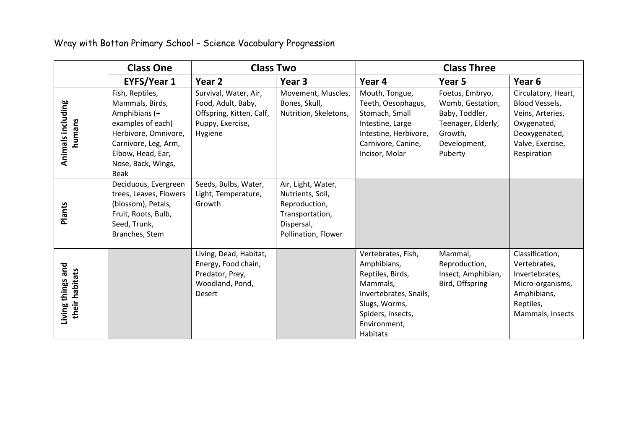|                                     | <b>Class One</b>                                                                                                                                                            | <b>Class Two</b>                                                                                       |                                                                                                                 | <b>Class Three</b>                                                                                                                                            |                                                                                                                   |                                                                                                                              |
|-------------------------------------|-----------------------------------------------------------------------------------------------------------------------------------------------------------------------------|--------------------------------------------------------------------------------------------------------|-----------------------------------------------------------------------------------------------------------------|---------------------------------------------------------------------------------------------------------------------------------------------------------------|-------------------------------------------------------------------------------------------------------------------|------------------------------------------------------------------------------------------------------------------------------|
|                                     | <b>EYFS/Year 1</b>                                                                                                                                                          | Year 2                                                                                                 | Year 3                                                                                                          | Year 4                                                                                                                                                        | Year 5                                                                                                            | Year 6                                                                                                                       |
| Animals including<br>humans         | Fish, Reptiles,<br>Mammals, Birds,<br>Amphibians (+<br>examples of each)<br>Herbivore, Omnivore,<br>Carnivore, Leg, Arm,<br>Elbow, Head, Ear,<br>Nose, Back, Wings,<br>Beak | Survival, Water, Air,<br>Food, Adult, Baby,<br>Offspring, Kitten, Calf,<br>Puppy, Exercise,<br>Hygiene | Movement, Muscles,<br>Bones, Skull,<br>Nutrition, Skeletons,                                                    | Mouth, Tongue,<br>Teeth, Oesophagus,<br>Stomach, Small<br>Intestine, Large<br>Intestine, Herbivore,<br>Carnivore, Canine,<br>Incisor, Molar                   | Foetus, Embryo,<br>Womb, Gestation,<br>Baby, Toddler,<br>Teenager, Elderly,<br>Growth,<br>Development,<br>Puberty | Circulatory, Heart,<br>Blood Vessels,<br>Veins, Arteries,<br>Oxygenated,<br>Deoxygenated,<br>Valve, Exercise,<br>Respiration |
| <b>Plants</b>                       | Deciduous, Evergreen<br>trees, Leaves, Flowers<br>(blossom), Petals,<br>Fruit, Roots, Bulb,<br>Seed, Trunk,<br>Branches, Stem                                               | Seeds, Bulbs, Water,<br>Light, Temperature,<br>Growth                                                  | Air, Light, Water,<br>Nutrients, Soil,<br>Reproduction,<br>Transportation,<br>Dispersal,<br>Pollination, Flower |                                                                                                                                                               |                                                                                                                   |                                                                                                                              |
| Living things and<br>their habitats |                                                                                                                                                                             | Living, Dead, Habitat,<br>Energy, Food chain,<br>Predator, Prey,<br>Woodland, Pond,<br>Desert          |                                                                                                                 | Vertebrates, Fish,<br>Amphibians,<br>Reptiles, Birds,<br>Mammals,<br>Invertebrates, Snails,<br>Slugs, Worms,<br>Spiders, Insects,<br>Environment,<br>Habitats | Mammal,<br>Reproduction,<br>Insect, Amphibian,<br>Bird, Offspring                                                 | Classification,<br>Vertebrates,<br>Invertebrates,<br>Micro-organisms,<br>Amphibians,<br>Reptiles,<br>Mammals, Insects        |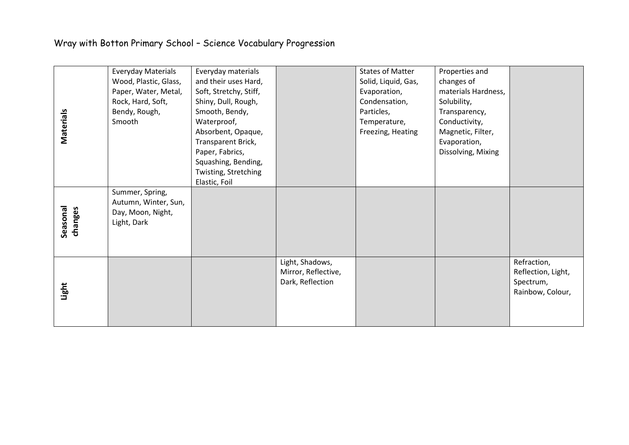| Materials           | <b>Everyday Materials</b><br>Wood, Plastic, Glass,<br>Paper, Water, Metal,<br>Rock, Hard, Soft,<br>Bendy, Rough,<br>Smooth | Everyday materials<br>and their uses Hard,<br>Soft, Stretchy, Stiff,<br>Shiny, Dull, Rough,<br>Smooth, Bendy,<br>Waterproof,<br>Absorbent, Opaque,<br>Transparent Brick,<br>Paper, Fabrics,<br>Squashing, Bending,<br>Twisting, Stretching<br>Elastic, Foil |                                                            | <b>States of Matter</b><br>Solid, Liquid, Gas,<br>Evaporation,<br>Condensation,<br>Particles,<br>Temperature,<br>Freezing, Heating | Properties and<br>changes of<br>materials Hardness,<br>Solubility,<br>Transparency,<br>Conductivity,<br>Magnetic, Filter,<br>Evaporation,<br>Dissolving, Mixing |                                                                    |
|---------------------|----------------------------------------------------------------------------------------------------------------------------|-------------------------------------------------------------------------------------------------------------------------------------------------------------------------------------------------------------------------------------------------------------|------------------------------------------------------------|------------------------------------------------------------------------------------------------------------------------------------|-----------------------------------------------------------------------------------------------------------------------------------------------------------------|--------------------------------------------------------------------|
| Seasonal<br>changes | Summer, Spring,<br>Autumn, Winter, Sun,<br>Day, Moon, Night,<br>Light, Dark                                                |                                                                                                                                                                                                                                                             |                                                            |                                                                                                                                    |                                                                                                                                                                 |                                                                    |
| Light               |                                                                                                                            |                                                                                                                                                                                                                                                             | Light, Shadows,<br>Mirror, Reflective,<br>Dark, Reflection |                                                                                                                                    |                                                                                                                                                                 | Refraction,<br>Reflection, Light,<br>Spectrum,<br>Rainbow, Colour, |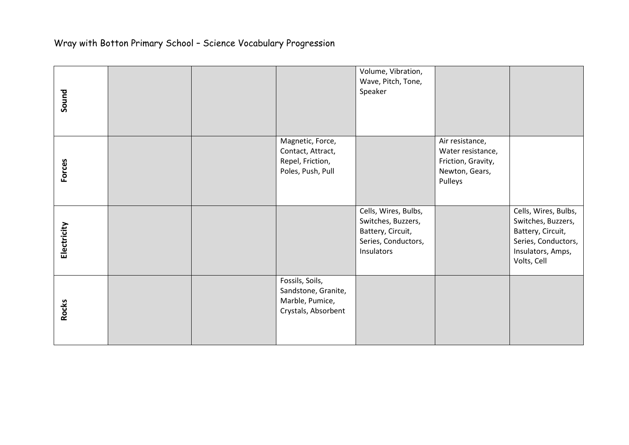| Sound         |  |                                                                                  | Volume, Vibration,<br>Wave, Pitch, Tone,<br>Speaker                                                  |                                                                                         |                                                                                                                            |
|---------------|--|----------------------------------------------------------------------------------|------------------------------------------------------------------------------------------------------|-----------------------------------------------------------------------------------------|----------------------------------------------------------------------------------------------------------------------------|
| <b>Forces</b> |  | Magnetic, Force,<br>Contact, Attract,<br>Repel, Friction,<br>Poles, Push, Pull   |                                                                                                      | Air resistance,<br>Water resistance,<br>Friction, Gravity,<br>Newton, Gears,<br>Pulleys |                                                                                                                            |
| Electricity   |  |                                                                                  | Cells, Wires, Bulbs,<br>Switches, Buzzers,<br>Battery, Circuit,<br>Series, Conductors,<br>Insulators |                                                                                         | Cells, Wires, Bulbs,<br>Switches, Buzzers,<br>Battery, Circuit,<br>Series, Conductors,<br>Insulators, Amps,<br>Volts, Cell |
| <b>Rocks</b>  |  | Fossils, Soils,<br>Sandstone, Granite,<br>Marble, Pumice,<br>Crystals, Absorbent |                                                                                                      |                                                                                         |                                                                                                                            |